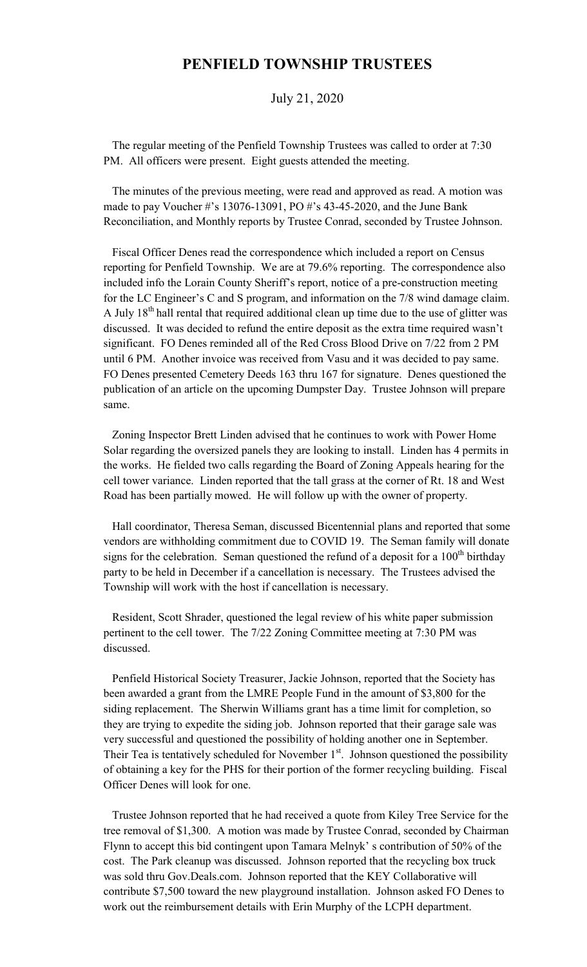## **PENFIELD TOWNSHIP TRUSTEES**

## July 21, 2020

 The regular meeting of the Penfield Township Trustees was called to order at 7:30 PM. All officers were present. Eight guests attended the meeting.

 The minutes of the previous meeting, were read and approved as read. A motion was made to pay Voucher #'s 13076-13091, PO #'s 43-45-2020, and the June Bank Reconciliation, and Monthly reports by Trustee Conrad, seconded by Trustee Johnson.

 Fiscal Officer Denes read the correspondence which included a report on Census reporting for Penfield Township. We are at 79.6% reporting. The correspondence also included info the Lorain County Sheriff's report, notice of a pre-construction meeting for the LC Engineer's C and S program, and information on the 7/8 wind damage claim. A July  $18<sup>th</sup>$  hall rental that required additional clean up time due to the use of glitter was discussed. It was decided to refund the entire deposit as the extra time required wasn't significant. FO Denes reminded all of the Red Cross Blood Drive on 7/22 from 2 PM until 6 PM. Another invoice was received from Vasu and it was decided to pay same. FO Denes presented Cemetery Deeds 163 thru 167 for signature. Denes questioned the publication of an article on the upcoming Dumpster Day. Trustee Johnson will prepare same.

 Zoning Inspector Brett Linden advised that he continues to work with Power Home Solar regarding the oversized panels they are looking to install. Linden has 4 permits in the works. He fielded two calls regarding the Board of Zoning Appeals hearing for the cell tower variance. Linden reported that the tall grass at the corner of Rt. 18 and West Road has been partially mowed. He will follow up with the owner of property.

 Hall coordinator, Theresa Seman, discussed Bicentennial plans and reported that some vendors are withholding commitment due to COVID 19. The Seman family will donate signs for the celebration. Seman questioned the refund of a deposit for a  $100<sup>th</sup>$  birthday party to be held in December if a cancellation is necessary. The Trustees advised the Township will work with the host if cancellation is necessary.

 Resident, Scott Shrader, questioned the legal review of his white paper submission pertinent to the cell tower. The 7/22 Zoning Committee meeting at 7:30 PM was discussed.

 Penfield Historical Society Treasurer, Jackie Johnson, reported that the Society has been awarded a grant from the LMRE People Fund in the amount of \$3,800 for the siding replacement. The Sherwin Williams grant has a time limit for completion, so they are trying to expedite the siding job. Johnson reported that their garage sale was very successful and questioned the possibility of holding another one in September. Their Tea is tentatively scheduled for November  $1<sup>st</sup>$ . Johnson questioned the possibility of obtaining a key for the PHS for their portion of the former recycling building. Fiscal Officer Denes will look for one.

 Trustee Johnson reported that he had received a quote from Kiley Tree Service for the tree removal of \$1,300. A motion was made by Trustee Conrad, seconded by Chairman Flynn to accept this bid contingent upon Tamara Melnyk' s contribution of 50% of the cost. The Park cleanup was discussed. Johnson reported that the recycling box truck was sold thru Gov.Deals.com. Johnson reported that the KEY Collaborative will contribute \$7,500 toward the new playground installation. Johnson asked FO Denes to work out the reimbursement details with Erin Murphy of the LCPH department.